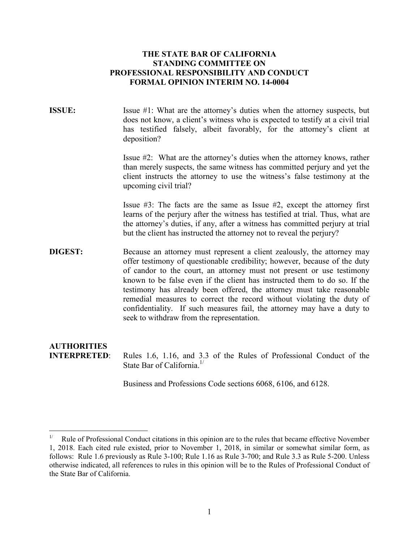# **THE STATE BAR OF CALIFORNIA STANDING COMMITTEE ON PROFESSIONAL RESPONSIBILITY AND CONDUCT FORMAL OPINION INTERIM NO. 14-0004**

**ISSUE:** Issue #1: What are the attorney's duties when the attorney suspects, but does not know, a client's witness who is expected to testify at a civil trial has testified falsely, albeit favorably, for the attorney's client at deposition?

> Issue #2: What are the attorney's duties when the attorney knows, rather than merely suspects, the same witness has committed perjury and yet the client instructs the attorney to use the witness's false testimony at the upcoming civil trial?

> Issue #3: The facts are the same as Issue #2, except the attorney first learns of the perjury after the witness has testified at trial. Thus, what are the attorney's duties, if any, after a witness has committed perjury at trial but the client has instructed the attorney not to reveal the perjury?

**DIGEST:** Because an attorney must represent a client zealously, the attorney may offer testimony of questionable credibility; however, because of the duty of candor to the court, an attorney must not present or use testimony known to be false even if the client has instructed them to do so. If the testimony has already been offered, the attorney must take reasonable remedial measures to correct the record without violating the duty of confidentiality. If such measures fail, the attorney may have a duty to seek to withdraw from the representation.

# **AUTHORITIES**

**INTERPRETED**: Rules 1.6, 1.16, and 3.3 of the Rules of Professional Conduct of the State Bar of California[.](#page-0-0)<sup>1/</sup>

Business and Professions Code sections 6068, 6106, and 6128.

<span id="page-0-0"></span>Rule of Professional Conduct citations in this opinion are to the rules that became effective November 1, 2018. Each cited rule existed, prior to November 1, 2018, in similar or somewhat similar form, as follows: Rule 1.6 previously as Rule 3-100; Rule 1.16 as Rule 3-700; and Rule 3.3 as Rule 5-200. Unless otherwise indicated, all references to rules in this opinion will be to the Rules of Professional Conduct of the State Bar of California.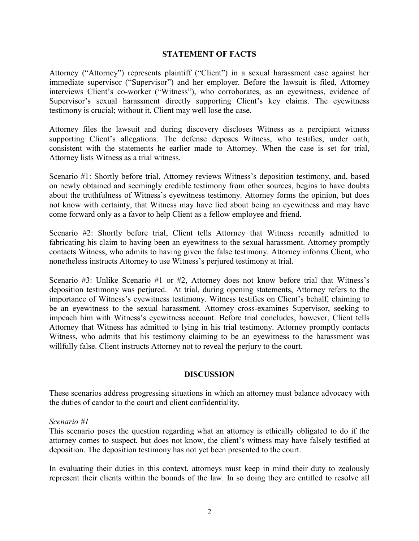### **STATEMENT OF FACTS**

Attorney ("Attorney") represents plaintiff ("Client") in a sexual harassment case against her immediate supervisor ("Supervisor") and her employer. Before the lawsuit is filed, Attorney interviews Client's co-worker ("Witness"), who corroborates, as an eyewitness, evidence of Supervisor's sexual harassment directly supporting Client's key claims. The eyewitness testimony is crucial; without it, Client may well lose the case.

Attorney files the lawsuit and during discovery discloses Witness as a percipient witness supporting Client's allegations. The defense deposes Witness, who testifies, under oath, consistent with the statements he earlier made to Attorney. When the case is set for trial, Attorney lists Witness as a trial witness.

Scenario #1: Shortly before trial, Attorney reviews Witness's deposition testimony, and, based on newly obtained and seemingly credible testimony from other sources, begins to have doubts about the truthfulness of Witness's eyewitness testimony. Attorney forms the opinion, but does not know with certainty, that Witness may have lied about being an eyewitness and may have come forward only as a favor to help Client as a fellow employee and friend.

Scenario #2: Shortly before trial, Client tells Attorney that Witness recently admitted to fabricating his claim to having been an eyewitness to the sexual harassment. Attorney promptly contacts Witness, who admits to having given the false testimony. Attorney informs Client, who nonetheless instructs Attorney to use Witness's perjured testimony at trial.

Scenario #3: Unlike Scenario #1 or #2, Attorney does not know before trial that Witness's deposition testimony was perjured. At trial, during opening statements, Attorney refers to the importance of Witness's eyewitness testimony. Witness testifies on Client's behalf, claiming to be an eyewitness to the sexual harassment. Attorney cross-examines Supervisor, seeking to impeach him with Witness's eyewitness account. Before trial concludes, however, Client tells Attorney that Witness has admitted to lying in his trial testimony. Attorney promptly contacts Witness, who admits that his testimony claiming to be an eyewitness to the harassment was willfully false. Client instructs Attorney not to reveal the perjury to the court.

# **DISCUSSION**

These scenarios address progressing situations in which an attorney must balance advocacy with the duties of candor to the court and client confidentiality.

#### *Scenario #1*

This scenario poses the question regarding what an attorney is ethically obligated to do if the attorney comes to suspect, but does not know, the client's witness may have falsely testified at deposition. The deposition testimony has not yet been presented to the court.

In evaluating their duties in this context, attorneys must keep in mind their duty to zealously represent their clients within the bounds of the law. In so doing they are entitled to resolve all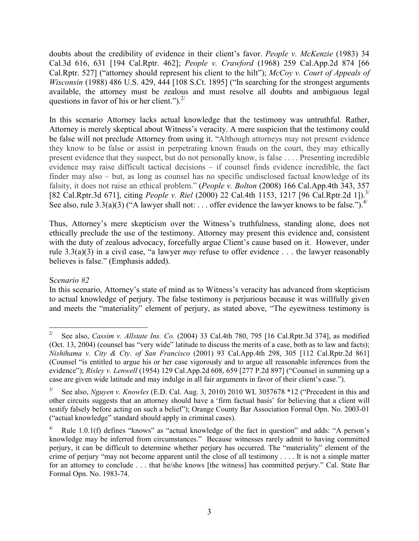doubts about the credibility of evidence in their client's favor. *People v. McKenzie* (1983) 34 Cal.3d 616, 631 [194 Cal.Rptr. 462]; *People v. Crawford* (1968) 259 Cal.App.2d 874 [66 Cal.Rptr. 527] ("attorney should represent his client to the hilt"); *McCoy v. Court of Appeals of Wisconsin* (1988) 486 U.S. 429, 444 [108 S.Ct. 1895] ("In searching for the strongest arguments available, the attorney must be zealous and must resolve all doubts and ambiguous legal questions in favor of his or her client."). $^{2/}$  $^{2/}$  $^{2/}$ 

In this scenario Attorney lacks actual knowledge that the testimony was untruthful. Rather, Attorney is merely skeptical about Witness's veracity. A mere suspicion that the testimony could be false will not preclude Attorney from using it. "Although attorneys may not present evidence they know to be false or assist in perpetrating known frauds on the court, they may ethically present evidence that they suspect, but do not personally know, is false . . . . Presenting incredible evidence may raise difficult tactical decisions – if counsel finds evidence incredible, the fact finder may also – but, as long as counsel has no specific undisclosed factual knowledge of its falsity, it does not raise an ethical problem." (*People v. Bolton* (2008) 166 Cal.App.4th 343, 357 [82 Cal.Rptr.3d 671], citing *People v. Riel* (2000) 22 Cal.4th 1153, 1217 [96 Cal.Rptr.2d 1]). [3/](#page-2-1) See also, rule 3.3(a)(3) ("A lawyer shall not: . . . offer evidence the lawyer knows to be false.").<sup>[4/](#page-2-2)</sup>

Thus, Attorney's mere skepticism over the Witness's truthfulness, standing alone, does not ethically preclude the use of the testimony. Attorney may present this evidence and, consistent with the duty of zealous advocacy, forcefully argue Client's cause based on it. However, under rule 3.3(a)(3) in a civil case, "a lawyer *may* refuse to offer evidence . . . the lawyer reasonably believes is false." (Emphasis added).

# S*cenario #2*

In this scenario, Attorney's state of mind as to Witness's veracity has advanced from skepticism to actual knowledge of perjury. The false testimony is perjurious because it was willfully given and meets the "materiality" element of perjury, as stated above, "The eyewitness testimony is

<span id="page-2-0"></span> $\frac{1}{2}$ See also, *Cassim v. Allstate Ins. Co.* (2004) 33 Cal.4th 780, 795 [16 Cal.Rptr.3d 374], as modified (Oct. 13, 2004) (counsel has "very wide" latitude to discuss the merits of a case, both as to law and facts); *Nishihama v. City & Cty. of San Francisco* (2001) 93 Cal.App.4th 298, 305 [112 Cal.Rptr.2d 861] (Counsel "is entitled to argue his or her case vigorously and to argue all reasonable inferences from the evidence"); *Risley v. Lenwell* (1954) 129 Cal.App.2d 608, 659 [277 P.2d 897] ("Counsel in summing up a case are given wide latitude and may indulge in all fair arguments in favor of their client's case.").

<span id="page-2-1"></span><sup>3/</sup> See also, *Nguyen v. Knowles* (E.D. Cal. Aug. 3, 2010) 2010 WL 3057678 \*12 ("Precedent in this and other circuits suggests that an attorney should have a 'firm factual basis' for believing that a client will testify falsely before acting on such a belief"); Orange County Bar Association Formal Opn. No. 2003-01 ("actual knowledge" standard should apply in criminal cases).

<span id="page-2-2"></span>Rule 1.0.1(f) defines "knows" as "actual knowledge of the fact in question" and adds: "A person's knowledge may be inferred from circumstances." Because witnesses rarely admit to having committed perjury, it can be difficult to determine whether perjury has occurred. The "materiality" element of the crime of perjury "may not become apparent until the close of all testimony . . . . It is not a simple matter for an attorney to conclude . . . that he/she knows [the witness] has committed perjury." Cal. State Bar Formal Opn. No. 1983-74.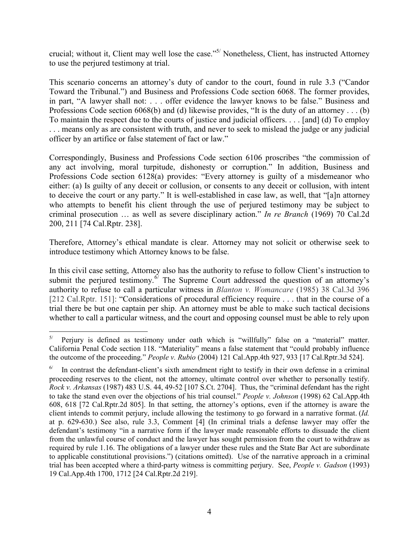crucial; without it, Client may well lose the case."[5](#page-3-0)/ Nonetheless, Client, has instructed Attorney to use the perjured testimony at trial.

This scenario concerns an attorney's duty of candor to the court, found in rule 3.3 ("Candor Toward the Tribunal.") and Business and Professions Code section 6068. The former provides, in part, "A lawyer shall not: . . . offer evidence the lawyer knows to be false." Business and Professions Code section 6068(b) and (d) likewise provides, "It is the duty of an attorney . . . (b) To maintain the respect due to the courts of justice and judicial officers. . . . [and] (d) To employ . . . means only as are consistent with truth, and never to seek to mislead the judge or any judicial officer by an artifice or false statement of fact or law."

Correspondingly, Business and Professions Code section 6106 proscribes "the commission of any act involving, moral turpitude, dishonesty or corruption." In addition, Business and Professions Code section 6128(a) provides: "Every attorney is guilty of a misdemeanor who either: (a) Is guilty of any deceit or collusion, or consents to any deceit or collusion, with intent to deceive the court or any party." It is well-established in case law, as well, that "[a]n attorney who attempts to benefit his client through the use of perjured testimony may be subject to criminal prosecution … as well as severe disciplinary action." *In re Branch* (1969) 70 Cal.2d 200, 211 [74 Cal.Rptr. 238].

Therefore, Attorney's ethical mandate is clear. Attorney may not solicit or otherwise seek to introduce testimony which Attorney knows to be false.

In this civil case setting, Attorney also has the authority to refuse to follow Client's instruction to submit the perjured testimony.<sup> $6/$  $6/$ </sup> The Supreme Court addressed the question of an attorney's authority to refuse to call a particular witness in *Blanton v. Womancare* (1985) 38 Cal.3d 396 [212 Cal.Rptr. 151]: "Considerations of procedural efficiency require . . . that in the course of a trial there be but one captain per ship. An attorney must be able to make such tactical decisions whether to call a particular witness, and the court and opposing counsel must be able to rely upon

<span id="page-3-0"></span> 5/ Perjury is defined as testimony under oath which is "willfully" false on a "material" matter. California Penal Code section 118. "Materiality" means a false statement that "could probably influence the outcome of the proceeding." *People v. Rubio* (2004) 121 Cal.App.4th 927, 933 [17 Cal.Rptr.3d 524].

<span id="page-3-1"></span><sup>6/</sup> In contrast the defendant-client's sixth amendment right to testify in their own defense in a criminal proceeding reserves to the client, not the attorney, ultimate control over whether to personally testify. *Rock v. Arkansas* (1987) 483 U.S. 44, 49-52 [107 S.Ct. 2704]. Thus, the "criminal defendant has the right to take the stand even over the objections of his trial counsel." *People v. Johnson* (1998) 62 Cal.App.4th 608, 618 [72 Cal.Rptr.2d 805]. In that setting, the attorney's options, even if the attorney is aware the client intends to commit perjury, include allowing the testimony to go forward in a narrative format. (*Id.* at p. 629-630.) See also, rule 3.3, Comment [4] (In criminal trials a defense lawyer may offer the defendant's testimony "in a narrative form if the lawyer made reasonable efforts to dissuade the client from the unlawful course of conduct and the lawyer has sought permission from the court to withdraw as required by rule 1.16. The obligations of a lawyer under these rules and the State Bar Act are subordinate to applicable constitutional provisions.") (citations omitted). Use of the narrative approach in a criminal trial has been accepted where a third-party witness is committing perjury. See, *People v. Gadson* (1993) 19 Cal.App.4th 1700, 1712 [24 Cal.Rptr.2d 219].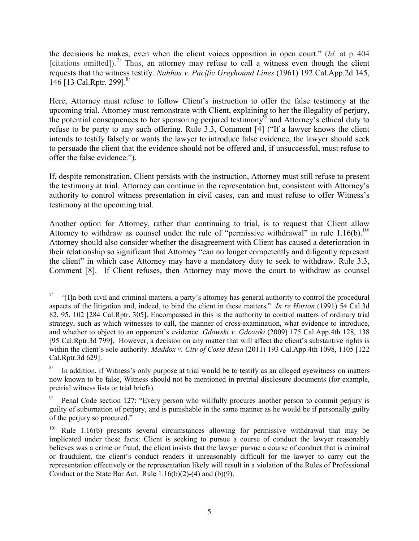the decisions he makes, even when the client voices opposition in open court." (*Id.* at p. 404 [citations omitted]).<sup>[7](#page-4-0)/</sup> Thus, an attorney may refuse to call a witness even though the client requests that the witness testify. *Nahhas v. Pacific Greyhound Lines* (1961) 192 Cal.App.2d 145, 146 [13 Cal.Rptr. 299].<sup>[8](#page-4-1)/</sup>

Here, Attorney must refuse to follow Client's instruction to offer the false testimony at the upcoming trial. Attorney must remonstrate with Client, explaining to her the illegality of perjury, the potential consequences to her sponsoring perjured testimony $\mathcal{I}$  and Attorney's ethical duty to refuse to be party to any such offering. Rule 3.3, Comment [4] ("If a lawyer knows the client intends to testify falsely or wants the lawyer to introduce false evidence, the lawyer should seek to persuade the client that the evidence should not be offered and, if unsuccessful, must refuse to offer the false evidence.").

If, despite remonstration, Client persists with the instruction, Attorney must still refuse to present the testimony at trial. Attorney can continue in the representation but, consistent with Attorney's authority to control witness presentation in civil cases, can and must refuse to offer Witness's testimony at the upcoming trial.

Another option for Attorney, rather than continuing to trial, is to request that Client allow Attorney to withdraw as counsel under the rule of "permissive withdrawal" in rule  $1.16(b)$ .<sup>[10/](#page-4-3)</sup> Attorney should also consider whether the disagreement with Client has caused a deterioration in their relationship so significant that Attorney "can no longer competently and diligently represent the client" in which case Attorney may have a mandatory duty to seek to withdraw. Rule 3.3, Comment [8]. If Client refuses, then Attorney may move the court to withdraw as counsel

<span id="page-4-0"></span> 7/ "[I]n both civil and criminal matters, a party's attorney has general authority to control the procedural aspects of the litigation and, indeed, to bind the client in these matters." *In re Horton* (1991) 54 Cal.3d 82, 95, 102 [284 Cal.Rptr. 305]. Encompassed in this is the authority to control matters of ordinary trial strategy, such as which witnesses to call, the manner of cross-examination, what evidence to introduce, and whether to object to an opponent's evidence. *Gdowski v. Gdowski* (2009) 175 Cal.App.4th 128, 138 [95 Cal.Rptr.3d 799]. However, a decision on any matter that will affect the client's substantive rights is within the client's sole authority. *Maddox v. City of Costa Mesa* (2011) 193 Cal.App.4th 1098, 1105 [122 Cal.Rptr.3d 629].

<span id="page-4-1"></span><sup>8/</sup> In addition, if Witness's only purpose at trial would be to testify as an alleged eyewitness on matters now known to be false, Witness should not be mentioned in pretrial disclosure documents (for example, pretrial witness lists or trial briefs).

<span id="page-4-2"></span><sup>9/</sup> Penal Code section 127: "Every person who willfully procures another person to commit perjury is guilty of subornation of perjury, and is punishable in the same manner as he would be if personally guilty of the perjury so procured."

<span id="page-4-3"></span>Rule 1.16(b) presents several circumstances allowing for permissive withdrawal that may be implicated under these facts: Client is seeking to pursue a course of conduct the lawyer reasonably believes was a crime or fraud, the client insists that the lawyer pursue a course of conduct that is criminal or fraudulent, the client's conduct renders it unreasonably difficult for the lawyer to carry out the representation effectively or the representation likely will result in a violation of the Rules of Professional Conduct or the State Bar Act. Rule  $1.16(b)(2)-(4)$  and  $(b)(9)$ .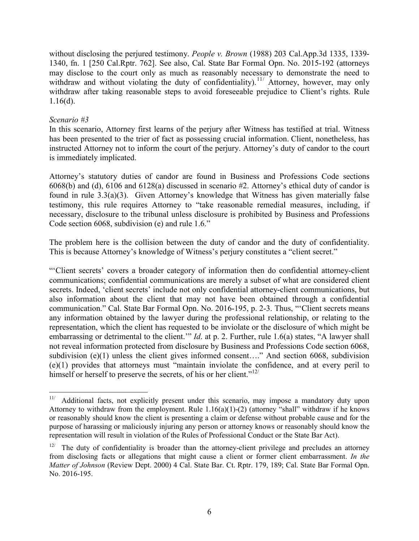without disclosing the perjured testimony. *People v. Brown* (1988) 203 Cal.App.3d 1335, 1339- 1340, fn. 1 [250 Cal.Rptr. 762]. See also, Cal. State Bar Formal Opn. No. 2015-192 (attorneys may disclose to the court only as much as reasonably necessary to demonstrate the need to withdraw and without violating the duty of confidentiality).<sup>[11](#page-5-0)/</sup> Attorney, however, may only withdraw after taking reasonable steps to avoid foreseeable prejudice to Client's rights. Rule 1.16(d).

# *Scenario #3*

In this scenario, Attorney first learns of the perjury after Witness has testified at trial. Witness has been presented to the trier of fact as possessing crucial information. Client, nonetheless, has instructed Attorney not to inform the court of the perjury. Attorney's duty of candor to the court is immediately implicated.

Attorney's statutory duties of candor are found in Business and Professions Code sections 6068(b) and (d), 6106 and 6128(a) discussed in scenario #2. Attorney's ethical duty of candor is found in rule 3.3(a)(3). Given Attorney's knowledge that Witness has given materially false testimony, this rule requires Attorney to "take reasonable remedial measures, including, if necessary, disclosure to the tribunal unless disclosure is prohibited by Business and Professions Code section 6068, subdivision (e) and rule 1.6."

The problem here is the collision between the duty of candor and the duty of confidentiality. This is because Attorney's knowledge of Witness's perjury constitutes a "client secret."

"'Client secrets' covers a broader category of information then do confidential attorney-client communications; confidential communications are merely a subset of what are considered client secrets. Indeed, 'client secrets' include not only confidential attorney-client communications, but also information about the client that may not have been obtained through a confidential communication." Cal. State Bar Formal Opn. No. 2016-195, p. 2-3. Thus, "'Client secrets means any information obtained by the lawyer during the professional relationship, or relating to the representation, which the client has requested to be inviolate or the disclosure of which might be embarrassing or detrimental to the client.'" *Id*. at p. 2. Further, rule 1.6(a) states, "A lawyer shall not reveal information protected from disclosure by Business and Professions Code section 6068, subdivision (e)(1) unless the client gives informed consent...." And section 6068, subdivision (e)(1) provides that attorneys must "maintain inviolate the confidence, and at every peril to himself or herself to preserve the secrets, of his or her client."<sup>[12](#page-5-1)/</sup>

<span id="page-5-0"></span> $11/$ Additional facts, not explicitly present under this scenario, may impose a mandatory duty upon Attorney to withdraw from the employment. Rule  $1.16(a)(1)$ -(2) (attorney "shall" withdraw if he knows or reasonably should know the client is presenting a claim or defense without probable cause and for the purpose of harassing or maliciously injuring any person or attorney knows or reasonably should know the representation will result in violation of the Rules of Professional Conduct or the State Bar Act).

<span id="page-5-1"></span><sup>12/</sup> The duty of confidentiality is broader than the attorney-client privilege and precludes an attorney from disclosing facts or allegations that might cause a client or former client embarrassment. *In the Matter of Johnson* (Review Dept. 2000) 4 Cal. State Bar. Ct. Rptr. 179, 189; Cal. State Bar Formal Opn. No. 2016-195.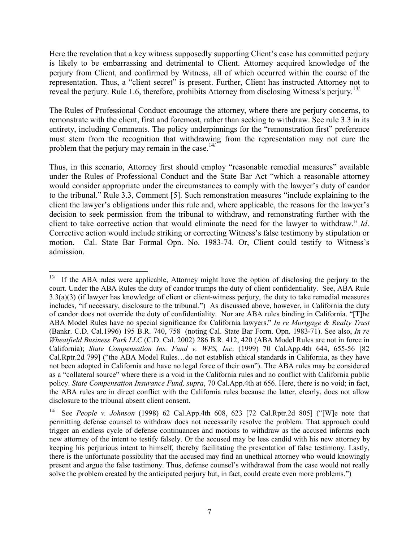Here the revelation that a key witness supposedly supporting Client's case has committed perjury is likely to be embarrassing and detrimental to Client. Attorney acquired knowledge of the perjury from Client, and confirmed by Witness, all of which occurred within the course of the representation. Thus, a "client secret" is present. Further, Client has instructed Attorney not to reveal the perjury. Rule 1.6, therefore, prohibits Attorney from disclosing Witness's perjury.<sup>[13/](#page-6-0)</sup>

The Rules of Professional Conduct encourage the attorney, where there are perjury concerns, to remonstrate with the client, first and foremost, rather than seeking to withdraw. See rule 3.3 in its entirety, including Comments. The policy underpinnings for the "remonstration first" preference must stem from the recognition that withdrawing from the representation may not cure the problem that the perjury may remain in the case.<sup>[14](#page-6-1)/</sup>

Thus, in this scenario, Attorney first should employ "reasonable remedial measures" available under the Rules of Professional Conduct and the State Bar Act "which a reasonable attorney would consider appropriate under the circumstances to comply with the lawyer's duty of candor to the tribunal." Rule 3.3, Comment [5]. Such remonstration measures "include explaining to the client the lawyer's obligations under this rule and, where applicable, the reasons for the lawyer's decision to seek permission from the tribunal to withdraw, and remonstrating further with the client to take corrective action that would eliminate the need for the lawyer to withdraw." *Id*. Corrective action would include striking or correcting Witness's false testimony by stipulation or motion. Cal. State Bar Formal Opn. No. 1983-74. Or, Client could testify to Witness's admission.

<span id="page-6-0"></span> $\frac{13}{13}$ If the ABA rules were applicable, Attorney might have the option of disclosing the perjury to the court. Under the ABA Rules the duty of candor trumps the duty of client confidentiality. See, ABA Rule 3.3(a)(3) (if lawyer has knowledge of client or client-witness perjury, the duty to take remedial measures includes, "if necessary, disclosure to the tribunal.") As discussed above, however, in California the duty of candor does not override the duty of confidentiality. Nor are ABA rules binding in California. "[T]he ABA Model Rules have no special significance for California lawyers." *In re Mortgage & Realty Trust* (Bankr. C.D. Cal.1996) 195 B.R. 740, 758 (noting Cal. State Bar Form. Opn. 1983-71). See also, *In re Wheatfield Business Park LLC* (C.D. Cal. 2002) 286 B.R. 412, 420 (ABA Model Rules are not in force in California); *State Compensation Ins. Fund v. WPS, Inc*. (1999) 70 Cal.App.4th 644, 655-56 [82 Cal.Rptr.2d 799] ("the ABA Model Rules…do not establish ethical standards in California, as they have not been adopted in California and have no legal force of their own"). The ABA rules may be considered as a "collateral source" where there is a void in the California rules and no conflict with California public policy. *State Compensation Insurance Fund, supra*, 70 Cal.App.4th at 656. Here, there is no void; in fact, the ABA rules are in direct conflict with the California rules because the latter, clearly, does not allow disclosure to the tribunal absent client consent.

<span id="page-6-1"></span><sup>14/</sup> See *People v. Johnson* (1998) 62 Cal.App.4th 608, 623 [72 Cal.Rptr.2d 805] ("[W]e note that permitting defense counsel to withdraw does not necessarily resolve the problem. That approach could trigger an endless cycle of defense continuances and motions to withdraw as the accused informs each new attorney of the intent to testify falsely. Or the accused may be less candid with his new attorney by keeping his perjurious intent to himself, thereby facilitating the presentation of false testimony. Lastly, there is the unfortunate possibility that the accused may find an unethical attorney who would knowingly present and argue the false testimony. Thus, defense counsel's withdrawal from the case would not really solve the problem created by the anticipated perjury but, in fact, could create even more problems.")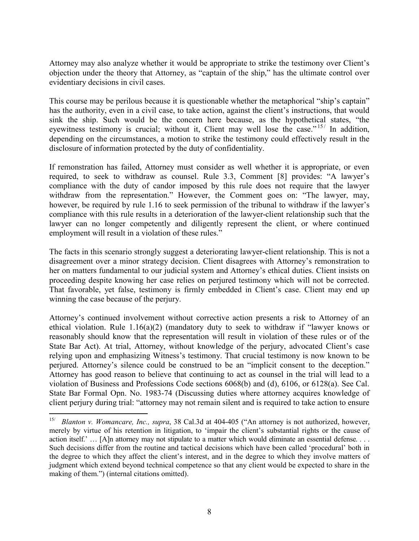Attorney may also analyze whether it would be appropriate to strike the testimony over Client's objection under the theory that Attorney, as "captain of the ship," has the ultimate control over evidentiary decisions in civil cases.

This course may be perilous because it is questionable whether the metaphorical "ship's captain" has the authority, even in a civil case, to take action, against the client's instructions, that would sink the ship. Such would be the concern here because, as the hypothetical states, "the eyewitness testimony is crucial; without it, Client may well lose the case."<sup>[15](#page-7-0)/</sup> In addition, depending on the circumstances, a motion to strike the testimony could effectively result in the disclosure of information protected by the duty of confidentiality.

If remonstration has failed, Attorney must consider as well whether it is appropriate, or even required, to seek to withdraw as counsel. Rule 3.3, Comment [8] provides: "A lawyer's compliance with the duty of candor imposed by this rule does not require that the lawyer withdraw from the representation." However, the Comment goes on: "The lawyer, may, however, be required by rule 1.16 to seek permission of the tribunal to withdraw if the lawyer's compliance with this rule results in a deterioration of the lawyer-client relationship such that the lawyer can no longer competently and diligently represent the client, or where continued employment will result in a violation of these rules."

The facts in this scenario strongly suggest a deteriorating lawyer-client relationship. This is not a disagreement over a minor strategy decision. Client disagrees with Attorney's remonstration to her on matters fundamental to our judicial system and Attorney's ethical duties. Client insists on proceeding despite knowing her case relies on perjured testimony which will not be corrected. That favorable, yet false, testimony is firmly embedded in Client's case. Client may end up winning the case because of the perjury.

Attorney's continued involvement without corrective action presents a risk to Attorney of an ethical violation. Rule 1.16(a)(2) (mandatory duty to seek to withdraw if "lawyer knows or reasonably should know that the representation will result in violation of these rules or of the State Bar Act). At trial, Attorney, without knowledge of the perjury, advocated Client's case relying upon and emphasizing Witness's testimony. That crucial testimony is now known to be perjured. Attorney's silence could be construed to be an "implicit consent to the deception." Attorney has good reason to believe that continuing to act as counsel in the trial will lead to a violation of Business and Professions Code sections 6068(b) and (d), 6106, or 6128(a). See Cal. State Bar Formal Opn. No. 1983-74 (Discussing duties where attorney acquires knowledge of client perjury during trial: "attorney may not remain silent and is required to take action to ensure

<span id="page-7-0"></span> $\frac{15}{15}$ *Blanton v. Womancare, Inc., supra*, 38 Cal.3d at 404-405 ("An attorney is not authorized, however, merely by virtue of his retention in litigation, to 'impair the client's substantial rights or the cause of action itself.' ... [A]n attorney may not stipulate to a matter which would eliminate an essential defense. . . . Such decisions differ from the routine and tactical decisions which have been called 'procedural' both in the degree to which they affect the client's interest, and in the degree to which they involve matters of judgment which extend beyond technical competence so that any client would be expected to share in the making of them.") (internal citations omitted).